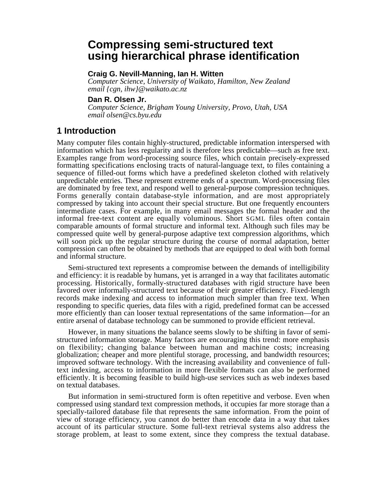# **Compressing semi-structured text using hierarchical phrase identification**

#### **Craig G. Nevill-Manning, Ian H. Witten**

*Computer Science, University of Waikato, Hamilton, New Zealand email {cgn, ihw}@waikato.ac.nz*

**Dan R. Olsen Jr.**

*Computer Science, Brigham Young University, Provo, Utah, USA email olsen@cs.byu.edu*

### **1 Introduction**

Many computer files contain highly-structured, predictable information interspersed with information which has less regularity and is therefore less predictable—such as free text. Examples range from word-processing source files, which contain precisely-expressed formatting specifications enclosing tracts of natural-language text, to files containing a sequence of filled-out forms which have a predefined skeleton clothed with relatively unpredictable entries. These represent extreme ends of a spectrum. Word-processing files are dominated by free text, and respond well to general-purpose compression techniques. Forms generally contain database-style information, and are most appropriately compressed by taking into account their special structure. But one frequently encounters intermediate cases. For example, in many email messages the formal header and the informal free-text content are equally voluminous. Short SGML files often contain comparable amounts of formal structure and informal text. Although such files may be compressed quite well by general-purpose adaptive text compression algorithms, which will soon pick up the regular structure during the course of normal adaptation, better compression can often be obtained by methods that are equipped to deal with both formal and informal structure.

Semi-structured text represents a compromise between the demands of intelligibility and efficiency: it is readable by humans, yet is arranged in a way that facilitates automatic processing. Historically, formally-structured databases with rigid structure have been favored over informally-structured text because of their greater efficiency. Fixed-length records make indexing and access to information much simpler than free text. When responding to specific queries, data files with a rigid, predefined format can be accessed more efficiently than can looser textual representations of the same information—for an entire arsenal of database technology can be summoned to provide efficient retrieval.

However, in many situations the balance seems slowly to be shifting in favor of semistructured information storage. Many factors are encouraging this trend: more emphasis on flexibility; changing balance between human and machine costs; increasing globalization; cheaper and more plentiful storage, processing, and bandwidth resources; improved software technology. With the increasing availability and convenience of fulltext indexing, access to information in more flexible formats can also be performed efficiently. It is becoming feasible to build high-use services such as web indexes based on textual databases.

But information in semi-structured form is often repetitive and verbose. Even when compressed using standard text compression methods, it occupies far more storage than a specially-tailored database file that represents the same information. From the point of view of storage efficiency, you cannot do better than encode data in a way that takes account of its particular structure. Some full-text retrieval systems also address the storage problem, at least to some extent, since they compress the textual database.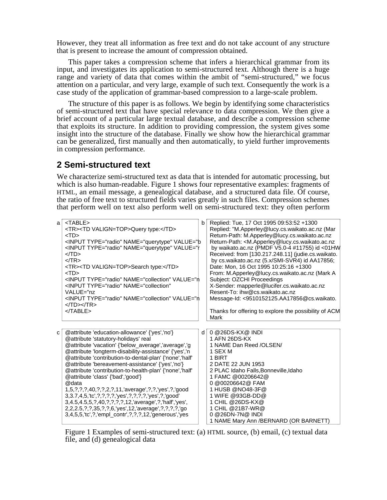However, they treat all information as free text and do not take account of any structure that is present to increase the amount of compression obtained.

This paper takes a compression scheme that infers a hierarchical grammar from its input, and investigates its application to semi-structured text. Although there is a huge range and variety of data that comes within the ambit of "semi-structured," we focus attention on a particular, and very large, example of such text. Consequently the work is a case study of the application of grammar-based compression to a large-scale problem.

The structure of this paper is as follows. We begin by identifying some characteristics of semi-structured text that have special relevance to data compression. We then give a brief account of a particular large textual database, and describe a compression scheme that exploits its structure. In addition to providing compression, the system gives some insight into the structure of the database. Finally we show how the hierarchical grammar can be generalized, first manually and then automatically, to yield further improvements in compression performance.

### **2 Semi-structured text**

We characterize semi-structured text as data that is intended for automatic processing, but which is also human-readable. Figure 1 shows four representative examples: fragments of HTML, an email message, a genealogical database, and a structured data file. Of course, the ratio of free text to structured fields varies greatly in such files. Compression schemes that perform well on text also perform well on semi-structured text: they often perform

| a           | $<$ TABLE $>$                                                                                                                                                                                                                                                                           | b           | Replied: Tue, 17 Oct 1995 09:53:52 +1300              |                                                 |
|-------------|-----------------------------------------------------------------------------------------------------------------------------------------------------------------------------------------------------------------------------------------------------------------------------------------|-------------|-------------------------------------------------------|-------------------------------------------------|
|             | <tr><td valign="TOP">Query type:</td></tr>                                                                                                                                                                                                                                              | Query type: |                                                       | Replied: "M.Apperley@lucy.cs.waikato.ac.nz (Mar |
| Query type: |                                                                                                                                                                                                                                                                                         |             |                                                       |                                                 |
|             | $<$ TD $>$                                                                                                                                                                                                                                                                              |             | Return-Path: M.Apperley@lucy.cs.waikato.ac.nz         |                                                 |
|             | <input <="" name="collection" radio"="" td="" type="radio" value="n&lt;/td&gt;&lt;td&gt;&lt;/td&gt;&lt;td&gt;Subject: OZCHI Proceedings&lt;/td&gt;&lt;/tr&gt;&lt;tr&gt;&lt;td&gt;&lt;/td&gt;&lt;td&gt;&lt;INPUT TYPE="/> <td></td> <td>X-Sender: mapperle@lucifer.cs.waikato.ac.nz</td> |             | X-Sender: mapperle@lucifer.cs.waikato.ac.nz           |                                                 |
|             | VALUE="nz                                                                                                                                                                                                                                                                               |             | Resent-To: ihw@cs.waikato.ac.nz                       |                                                 |
|             | <INPUT TYPE="radio" NAME="collection" VALUE="n</td> <td></td> <td>Message-Id: &lt;9510152125.AA17856@cs.waikato.</td>                                                                                                                                                                   |             | Message-Id: <9510152125.AA17856@cs.waikato.           |                                                 |
|             | $<$ $TD$ > $<$ $TR$ >                                                                                                                                                                                                                                                                   |             |                                                       |                                                 |
|             | $<$ /TABLE $>$                                                                                                                                                                                                                                                                          |             | Thanks for offering to explore the possibility of ACM |                                                 |
|             |                                                                                                                                                                                                                                                                                         |             | Mark                                                  |                                                 |
|             |                                                                                                                                                                                                                                                                                         |             |                                                       |                                                 |
|             | @attribute 'education-allowance' {'yes' 'no'}                                                                                                                                                                                                                                           |             | പി ∩ @ാണട-kx@ിNDI                                     |                                                 |

| $\mathbf{C}$ | @attribute 'education-allowance' {'yes','no'}                        | d | 0 @26DS-KX@ INDI                       |
|--------------|----------------------------------------------------------------------|---|----------------------------------------|
|              | @attribute 'statutory-holidays' real                                 |   | 1 AFN 26DS-KX                          |
|              | @attribute 'vacation' {'below_average','average','g                  |   | 1 NAME Dan Reed /OLSEN/                |
|              | @attribute 'longterm-disability-assistance' {'yes','n                |   | 1 SEX M                                |
|              | @attribute 'contribution-to-dental-plan' {'none','half'              |   | 1 BIRT                                 |
|              | @attribute 'bereavement-assistance' {'yes','no'}                     |   | 2 DATE 22 JUN 1953                     |
|              | @attribute 'contribution-to-health-plan' {'none', 'half'             |   | 2 PLAC Idaho Falls, Bonneville, Idaho  |
|              | @attribute 'class' {'bad', 'good'}                                   |   | 1 FAMC @00206642@                      |
|              | @data                                                                |   | 0 @00206642@ FAM                       |
|              | 1,5, ?, ?, ?, 40, ?, ?, 2, ?, 11, 'average', ?, ?, 'yes', ?, 'good   |   | 1 HUSB @NO48-3F@                       |
|              | 3, 3. 7, 4, 5, 'tc', ?, ?, ?, ?, 'yes', ?, ?, ?, ?, 'yes', ?, 'good' |   | 1 WIFE @93GB-DD@                       |
|              | 3,4.5,4.5,5,?,40,?,?,?,?,12,'average',?,'half','yes',                |   | 1 CHIL @26DS-KX@                       |
|              | 2,2,2.5, ?, ?, 35, ?, ?, 6, 'yes', 12, 'average', ?, ?, ?, ?, 'go    |   | 1 CHIL @21B7-WR@                       |
|              | 3,4,5,5,'tc',?,'empl_contr',?,?,?,12,'generous','yes                 |   | $0 @ 26$ DN-7N $@$ INDI                |
|              |                                                                      |   | 1 NAME Mary Ann / BERNARD (OR BARNETT) |

Figure 1 Examples of semi-structured text: (a) HTML source, (b) email, (c) textual data file, and (d) genealogical data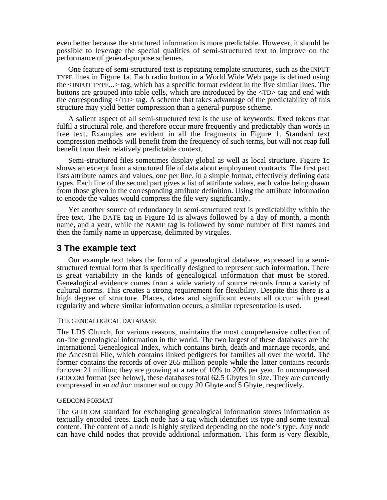even better because the structured information is more predictable. However, it should be possible to leverage the special qualities of semi-structured text to improve on the performance of general-purpose schemes.

One feature of semi-structured text is repeating template structures, such as the INPUT TYPE lines in Figure 1a. Each radio button in a World Wide Web page is defined using the <INPUT TYPE...> tag, which has a specific format evident in the five similar lines. The buttons are grouped into table cells, which are introduced by the <TD> tag and end with the corresponding </TD> tag. A scheme that takes advantage of the predictability of this structure may yield better compression than a general-purpose scheme.

A salient aspect of all semi-structured text is the use of keywords: fixed tokens that fulfil a structural role, and therefore occur more frequently and predictably than words in free text. Examples are evident in all the fragments in Figure 1. Standard text compression methods will benefit from the frequency of such terms, but will not reap full benefit from their relatively predictable context.

Semi-structured files sometimes display global as well as local structure. Figure 1c shows an excerpt from a structured file of data about employment contracts. The first part lists attribute names and values, one per line, in a simple format, effectively defining data types. Each line of the second part gives a list of attribute values, each value being drawn from those given in the corresponding attribute definition. Using the attribute information to encode the values would compress the file very significantly.

Yet another source of redundancy in semi-structured text is predictability within the free text. The DATE tag in Figure 1d is always followed by a day of month, a month name, and a year, while the NAME tag is followed by some number of first names and then the family name in uppercase, delimited by virgules.

### **3 The example text**

Our example text takes the form of a genealogical database, expressed in a semistructured textual form that is specifically designed to represent such information. There is great variability in the kinds of genealogical information that must be stored. Genealogical evidence comes from a wide variety of source records from a variety of cultural norms. This creates a strong requirement for flexibility. Despite this there is a high degree of structure. Places, dates and significant events all occur with great regularity and where similar information occurs, a similar representation is used.

#### THE GENEALOGICAL DATABASE

The LDS Church, for various reasons, maintains the most comprehensive collection of on-line genealogical information in the world. The two largest of these databases are the International Genealogical Index, which contains birth, death and marriage records, and the Ancestral File, which contains linked pedigrees for families all over the world. The former contains the records of over 265 million people while the latter contains records for over 21 million; they are growing at a rate of 10% to 20% per year. In uncompressed GEDCOM format (see below), these databases total 62.5 Gbytes in size. They are currently compressed in an *ad hoc* manner and occupy 20 Gbyte and 5 Gbyte, respectively.

#### GEDCOM FORMAT

The GEDCOM standard for exchanging genealogical information stores information as textually encoded trees. Each node has a tag which identifies its type and some textual content. The content of a node is highly stylized depending on the node's type. Any node can have child nodes that provide additional information. This form is very flexible,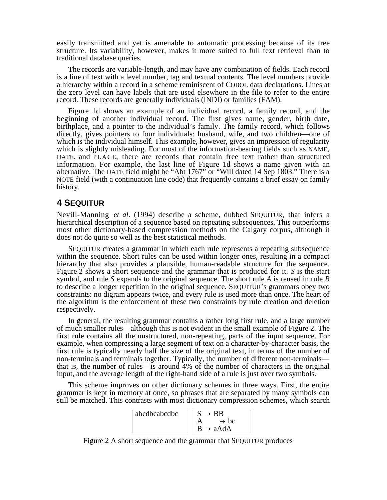easily transmitted and yet is amenable to automatic processing because of its tree structure. Its variability, however, makes it more suited to full text retrieval than to traditional database queries.

The records are variable-length, and may have any combination of fields. Each record is a line of text with a level number, tag and textual contents. The level numbers provide a hierarchy within a record in a scheme reminiscent of COBOL data declarations. Lines at the zero level can have labels that are used elsewhere in the file to refer to the entire record. These records are generally individuals (INDI) or families (FAM).

Figure 1d shows an example of an individual record, a family record, and the beginning of another individual record. The first gives name, gender, birth date, birthplace, and a pointer to the individual's family. The family record, which follows directly, gives pointers to four individuals: husband, wife, and two children—one of which is the individual himself. This example, however, gives an impression of regularity which is slightly misleading. For most of the information-bearing fields such as NAME, DATE, and PLACE, there are records that contain free text rather than structured information. For example, the last line of Figure 1d shows a name given with an alternative. The DATE field might be "Abt 1767" or "Will dated 14 Sep 1803." There is a NOTE field (with a continuation line code) that frequently contains a brief essay on family history.

### **4 SEQUITUR**

Nevill-Manning *et al.* (1994) describe a scheme, dubbed SEQUITUR, that infers a hierarchical description of a sequence based on repeating subsequences. This outperforms most other dictionary-based compression methods on the Calgary corpus, although it does not do quite so well as the best statistical methods.

SEQUITUR creates a grammar in which each rule represents a repeating subsequence within the sequence. Short rules can be used within longer ones, resulting in a compact hierarchy that also provides a plausible, human-readable structure for the sequence. Figure 2 shows a short sequence and the grammar that is produced for it. *S* is the start symbol, and rule *S* expands to the original sequence. The short rule *A* is reused in rule *B* to describe a longer repetition in the original sequence. SEQUITUR's grammars obey two constraints: no digram appears twice, and every rule is used more than once. The heart of the algorithm is the enforcement of these two constraints by rule creation and deletion respectively.

In general, the resulting grammar contains a rather long first rule, and a large number of much smaller rules—although this is not evident in the small example of Figure 2. The first rule contains all the unstructured, non-repeating, parts of the input sequence. For example, when compressing a large segment of text on a character-by-character basis, the first rule is typically nearly half the size of the original text, in terms of the number of non-terminals and terminals together. Typically, the number of different non-terminals that is, the number of rules—is around 4% of the number of characters in the original input, and the average length of the right-hand side of a rule is just over two symbols.

This scheme improves on other dictionary schemes in three ways. First, the entire grammar is kept in memory at once, so phrases that are separated by many symbols can still be matched. This contrasts with most dictionary compression schemes, which search

| abcdbcabcdbc | <b>BB</b><br>$\overline{\phantom{0}}$ |
|--------------|---------------------------------------|
|              | $\rightarrow$ hc                      |
|              | $B \rightarrow aA dA$                 |

Figure 2 A short sequence and the grammar that SEQUITUR produces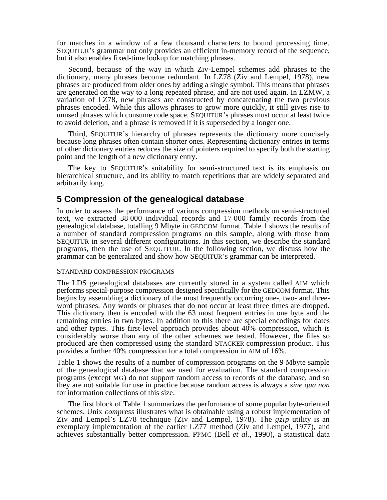for matches in a window of a few thousand characters to bound processing time. SEQUITUR's grammar not only provides an efficient in-memory record of the sequence, but it also enables fixed-time lookup for matching phrases.

Second, because of the way in which Ziv-Lempel schemes add phrases to the dictionary, many phrases become redundant. In LZ78 (Ziv and Lempel, 1978), new phrases are produced from older ones by adding a single symbol. This means that phrases are generated on the way to a long repeated phrase, and are not used again. In LZMW, a variation of LZ78, new phrases are constructed by concatenating the two previous phrases encoded. While this allows phrases to grow more quickly, it still gives rise to unused phrases which consume code space. SEQUITUR's phrases must occur at least twice to avoid deletion, and a phrase is removed if it is superseded by a longer one.

Third, SEQUITUR's hierarchy of phrases represents the dictionary more concisely because long phrases often contain shorter ones. Representing dictionary entries in terms of other dictionary entries reduces the size of pointers required to specify both the starting point and the length of a new dictionary entry.

The key to SEQUITUR's suitability for semi-structured text is its emphasis on hierarchical structure, and its ability to match repetitions that are widely separated and arbitrarily long.

### **5 Compression of the genealogical database**

In order to assess the performance of various compression methods on semi-structured text, we extracted 38 000 individual records and 17 000 family records from the genealogical database, totalling 9 Mbyte in GEDCOM format. Table 1 shows the results of a number of standard compression programs on this sample, along with those from SEQUITUR in several different configurations. In this section, we describe the standard programs, then the use of SEQUITUR. In the following section, we discuss how the grammar can be generalized and show how SEQUITUR's grammar can be interpreted.

#### STANDARD COMPRESSION PROGRAMS

The LDS genealogical databases are currently stored in a system called AIM which performs special-purpose compression designed specifically for the GEDCOM format. This begins by assembling a dictionary of the most frequently occurring one-, two- and threeword phrases. Any words or phrases that do not occur at least three times are dropped. This dictionary then is encoded with the 63 most frequent entries in one byte and the remaining entries in two bytes. In addition to this there are special encodings for dates and other types. This first-level approach provides about 40% compression, which is considerably worse than any of the other schemes we tested. However, the files so produced are then compressed using the standard STACKER compression product. This provides a further 40% compression for a total compression in AIM of 16%.

Table 1 shows the results of a number of compression programs on the 9 Mbyte sample of the genealogical database that we used for evaluation. The standard compression programs (except MG) do not support random access to records of the database, and so they are not suitable for use in practice because random access is always a *sine qua non* for information collections of this size.

The first block of Table 1 summarizes the performance of some popular byte-oriented schemes. Unix *compress* illustrates what is obtainable using a robust implementation of Ziv and Lempel's LZ78 technique (Ziv and Lempel, 1978). The *gzip* utility is an exemplary implementation of the earlier LZ77 method (Ziv and Lempel, 1977), and achieves substantially better compression. PPMC (Bell *et al.*, 1990), a statistical data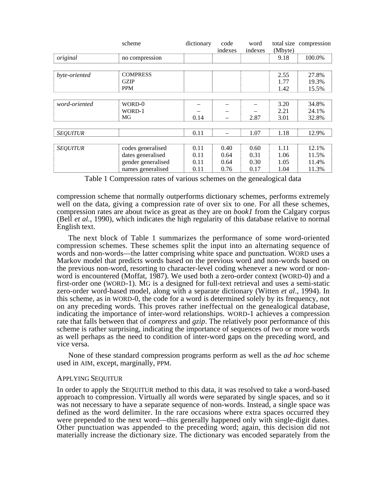|                 | scheme             | dictionary | code    | word    |         | total size compression |
|-----------------|--------------------|------------|---------|---------|---------|------------------------|
|                 |                    |            | indexes | indexes | (Mbyte) |                        |
| original        | no compression     |            |         |         | 9.18    | 100.0%                 |
|                 |                    |            |         |         |         |                        |
| byte-oriented   | <b>COMPRESS</b>    |            |         |         | 2.55    | 27.8%                  |
|                 | <b>GZIP</b>        |            |         |         | 1.77    | 19.3%                  |
|                 | <b>PPM</b>         |            |         |         | 1.42    | 15.5%                  |
|                 |                    |            |         |         |         |                        |
| word-oriented   | WORD-0             |            |         |         | 3.20    | 34.8%                  |
|                 | WORD-1             |            |         |         | 2.21    | 24.1%                  |
|                 | MG                 | 0.14       |         | 2.87    | 3.01    | 32.8%                  |
|                 |                    |            |         |         |         |                        |
| <b>SEQUITUR</b> |                    | 0.11       |         | 1.07    | 1.18    | 12.9%                  |
|                 |                    |            |         |         |         |                        |
| <b>SEQUITUR</b> | codes generalised  | 0.11       | 0.40    | 0.60    | 1.11    | 12.1%                  |
|                 | dates generalised  | 0.11       | 0.64    | 0.31    | 1.06    | 11.5%                  |
|                 | gender generalised | 0.11       | 0.64    | 0.30    | 1.05    | 11.4%                  |
|                 | names generalised  | 0.11       | 0.76    | 0.17    | 1.04    | 11.3%                  |

Table 1 Compression rates of various schemes on the genealogical data

compression scheme that normally outperforms dictionary schemes, performs extremely well on the data, giving a compression rate of over six to one. For all these schemes, compression rates are about twice as great as they are on *book1* from the Calgary corpus (Bell *et al.*, 1990), which indicates the high regularity of this database relative to normal English text.

The next block of Table 1 summarizes the performance of some word-oriented compression schemes. These schemes split the input into an alternating sequence of words and non-words—the latter comprising white space and punctuation. WORD uses a Markov model that predicts words based on the previous word and non-words based on the previous non-word, resorting to character-level coding whenever a new word or nonword is encountered (Moffat, 1987). We used both a zero-order context (WORD-0) and a first-order one (WORD-1). MG is a designed for full-text retrieval and uses a semi-static zero-order word-based model, along with a separate dictionary (Witten *et al*., 1994). In this scheme, as in WORD-0, the code for a word is determined solely by its frequency, not on any preceding words. This proves rather ineffectual on the genealogical database, indicating the importance of inter-word relationships. WORD-1 achieves a compression rate that falls between that of *compress* and *gzip*. The relatively poor performance of this scheme is rather surprising, indicating the importance of sequences of two or more words as well perhaps as the need to condition of inter-word gaps on the preceding word, and vice versa.

None of these standard compression programs perform as well as the *ad hoc* scheme used in AIM, except, marginally, PPM.

#### APPLYING SEQUITUR

In order to apply the SEQUITUR method to this data, it was resolved to take a word-based approach to compression. Virtually all words were separated by single spaces, and so it was not necessary to have a separate sequence of non-words. Instead, a single space was defined as the word delimiter. In the rare occasions where extra spaces occurred they were prepended to the next word—this generally happened only with single-digit dates. Other punctuation was appended to the preceding word; again, this decision did not materially increase the dictionary size. The dictionary was encoded separately from the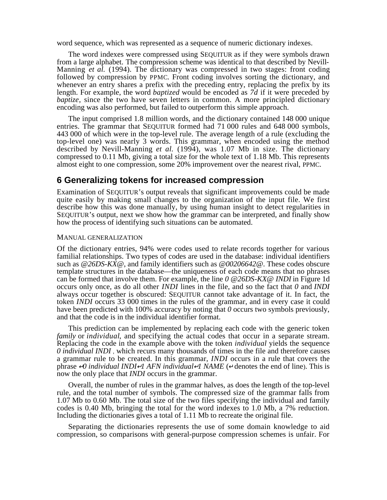word sequence, which was represented as a sequence of numeric dictionary indexes.

The word indexes were compressed using SEQUITUR as if they were symbols drawn from a large alphabet. The compression scheme was identical to that described by Nevill-Manning *et al.* (1994). The dictionary was compressed in two stages: front coding followed by compression by PPMC. Front coding involves sorting the dictionary, and whenever an entry shares a prefix with the preceding entry, replacing the prefix by its length. For example, the word *baptized* would be encoded as *7d* if it were preceded by *baptize*, since the two have seven letters in common. A more principled dictionary encoding was also performed, but failed to outperform this simple approach.

The input comprised 1.8 million words, and the dictionary contained 148 000 unique entries. The grammar that SEQUITUR formed had 71 000 rules and 648 000 symbols, 443 000 of which were in the top-level rule. The average length of a rule (excluding the top-level one) was nearly 3 words. This grammar, when encoded using the method described by Nevill-Manning *et al.* (1994), was 1.07 Mb in size. The dictionary compressed to 0.11 Mb, giving a total size for the whole text of 1.18 Mb. This represents almost eight to one compression, some 20% improvement over the nearest rival, PPMC.

### **6 Generalizing tokens for increased compression**

Examination of SEQUITUR's output reveals that significant improvements could be made quite easily by making small changes to the organization of the input file. We first describe how this was done manually, by using human insight to detect regularities in SEQUITUR's output, next we show how the grammar can be interpreted, and finally show how the process of identifying such situations can be automated.

#### MANUAL GENERALIZATION

Of the dictionary entries, 94% were codes used to relate records together for various familial relationships. Two types of codes are used in the database: individual identifiers such as *@26DS-KX@*, and family identifiers such as *@00206642@*. These codes obscure template structures in the database—the uniqueness of each code means that no phrases can be formed that involve them. For example, the line *0 @26DS-KX@ INDI* in Figure 1d occurs only once, as do all other *INDI* lines in the file, and so the fact that *0* and *INDI* always occur together is obscured: SEQUITUR cannot take advantage of it. In fact, the token *INDI* occurs 33 000 times in the rules of the grammar, and in every case it could have been predicted with 100% accuracy by noting that *0* occurs two symbols previously, and that the code is in the individual identifier format.

This prediction can be implemented by replacing each code with the generic token *family* or *individual*, and specifying the actual codes that occur in a separate stream. Replacing the code in the example above with the token *individual* yields the sequence *0 individual INDI* , which recurs many thousands of times in the file and therefore causes a grammar rule to be created. In this grammar, *INDI* occurs in a rule that covers the phrase ↵*0 individual INDI*↵*1 AFN individual*↵*1 NAME* (↵ denotes the end of line). This is now the only place that *INDI* occurs in the grammar.

Overall, the number of rules in the grammar halves, as does the length of the top-level rule, and the total number of symbols. The compressed size of the grammar falls from 1.07 Mb to 0.60 Mb. The total size of the two files specifying the individual and family codes is 0.40 Mb, bringing the total for the word indexes to 1.0 Mb, a 7% reduction. Including the dictionaries gives a total of 1.11 Mb to recreate the original file.

Separating the dictionaries represents the use of some domain knowledge to aid compression, so comparisons with general-purpose compression schemes is unfair. For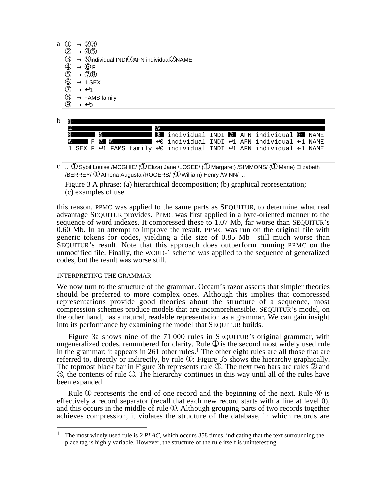| a |     |                                        |
|---|-----|----------------------------------------|
|   |     | (5)                                    |
|   | (3) | → ⑨individual INDI⑦AFN individual⑦NAME |
|   |     | (6) F                                  |
|   | (5) | (7)(8)                                 |
|   | (6) | $\rightarrow$ 1 SEX                    |
|   |     | $\rightarrow$ $\Box$ 1                 |
|   | (8) | $\rightarrow$ FAMS family              |
|   |     |                                        |

| 전 사 |  |
|-----|--|
|     |  |

| b. | O              |  |         |  |               |                                                                     |  |  |  |
|----|----------------|--|---------|--|---------------|---------------------------------------------------------------------|--|--|--|
|    | $^{\circledR}$ |  |         |  | $\circled{3}$ |                                                                     |  |  |  |
|    | $\circled{4}$  |  | $\circ$ |  |               | <b>9</b> individual INDI 0 AFN individual 0 NAME                    |  |  |  |
|    | $\circledast$  |  |         |  |               | F 0 0 10 individual INDI 41 AFN individual 41 NAME                  |  |  |  |
|    |                |  |         |  |               | 1 SEX F ↓1 FAMS family ↓0 individual INDI ↓1 AFN individual ↓1 NAME |  |  |  |

 $c \mid ...$  ① Sybil Louise /MCGHIE/ (① Eliza) Jane /LOSEE/ (① Margaret) /SIMMONS/ (① Marie) Elizabeth /BERREY/ ➀ Athena Augusta /ROGERS/ (➀ William) Henry /WINN/ ...

Figure 3 A phrase: (a) hierarchical decomposition; (b) graphical representation; (c) examples of use

this reason, PPMC was applied to the same parts as SEQUITUR, to determine what real advantage SEQUITUR provides. PPMC was first applied in a byte-oriented manner to the sequence of word indexes. It compressed these to 1.07 Mb, far worse than SEQUITUR's 0.60 Mb. In an attempt to improve the result, PPMC was run on the original file with generic tokens for codes, yielding a file size of 0.85 Mb—still much worse than SEQUITUR's result. Note that this approach does outperform running PPMC on the unmodified file. Finally, the WORD-1 scheme was applied to the sequence of generalized codes, but the result was worse still.

#### INTERPRETING THE GRAMMAR

We now turn to the structure of the grammar. Occam's razor asserts that simpler theories should be preferred to more complex ones. Although this implies that compressed representations provide good theories about the structure of a sequence, most compression schemes produce models that are incomprehensible. SEQUITUR's model, on the other hand, has a natural, readable representation as a grammar. We can gain insight into its performance by examining the model that SEQUITUR builds.

Figure 3a shows nine of the 71 000 rules in SEQUITUR's original grammar, with ungeneralized codes, renumbered for clarity. Rule  $\mathbb O$  is the second most widely used rule in the grammar: it appears in 261 other rules.<sup>1</sup> The other eight rules are all those that are referred to, directly or indirectly, by rule ➀: Figure 3b shows the hierarchy graphically. The topmost black bar in Figure 3b represents rule ①. The next two bars are rules ② and ➂, the contents of rule ➀. The hierarchy continues in this way until all of the rules have been expanded.

Rule  $\Phi$  represents the end of one record and the beginning of the next. Rule  $\Phi$  is effectively a record separator (recall that each new record starts with a line at level 0), and this occurs in the middle of rule  $\mathbb{O}$ . Although grouping parts of two records together achieves compression, it violates the structure of the database, in which records are

<sup>&</sup>lt;sup>1</sup> The most widely used rule is 2 PLAC, which occurs 358 times, indicating that the text surrounding the place tag is highly variable. However, the structure of the rule itself is uninteresting.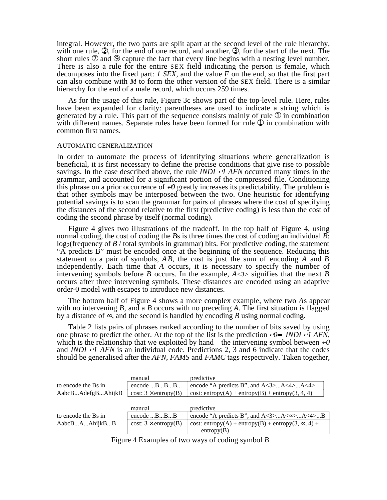integral. However, the two parts are split apart at the second level of the rule hierarchy, with one rule, ②, for the end of one record, and another, ③, for the start of the next. The short rules  $\oslash$  and  $\oslash$  capture the fact that every line begins with a nesting level number. There is also a rule for the entire SEX field indicating the person is female, which decomposes into the fixed part: *1 SEX*, and the value *F* on the end, so that the first part can also combine with *M* to form the other version of the SEX field. There is a similar hierarchy for the end of a male record, which occurs 259 times.

As for the usage of this rule, Figure 3c shows part of the top-level rule*.* Here, rules have been expanded for clarity: parentheses are used to indicate a string which is generated by a rule. This part of the sequence consists mainly of rule  $\mathcal D$  in combination with different names. Separate rules have been formed for rule  $\Phi$  in combination with common first names.

#### AUTOMATIC GENERALIZATION

In order to automate the process of identifying situations where generalization is beneficial, it is first necessary to define the precise conditions that give rise to possible savings. In the case described above, the rule *INDI* → *1 AFN* occurred many times in the grammar, and accounted for a significant portion of the compressed file. Conditioning this phrase on a prior occurrence of  $\mathcal{A}$  greatly increases its predictability. The problem is that other symbols may be interposed between the two. One heuristic for identifying potential savings is to scan the grammar for pairs of phrases where the cost of specifying the distances of the second relative to the first (predictive coding) is less than the cost of coding the second phrase by itself (normal coding).

Figure 4 gives two illustrations of the tradeoff. In the top half of Figure 4, using normal coding, the cost of coding the *B*s is three times the cost of coding an individual *B*:  $log_2$ (frequency of *B* / total symbols in grammar) bits. For predictive coding, the statement "A predicts B" must be encoded once at the beginning of the sequence. Reducing this statement to a pair of symbols, *A B*, the cost is just the sum of encoding *A* and *B* independently. Each time that *A* occurs, it is necessary to specify the number of intervening symbols before *B* occurs. In the example,  $A \leq 3$  signifies that the next *B* occurs after three intervening symbols. These distances are encoded using an adaptive order-0 model with escapes to introduce new distances.

The bottom half of Figure 4 shows a more complex example, where two *A*s appear with no intervening *B*, and a *B* occurs with no preceding *A*. The first situation is flagged by a distance of  $\infty$ , and the second is handled by encoding *B* using normal coding.

Table 2 lists pairs of phrases ranked according to the number of bits saved by using one phrase to predict the other. At the top of the list is the prediction  $\angle O \Rightarrow INDI \angle IAPN$ , which is the relationship that we exploited by hand—the intervening symbol between  $\mu$ *0* and *INDI* ↵*1 AFN* is an individual code. Predictions 2, 3 and 6 indicate that the codes should be generalised after the *AFN*, *FAMS* and *FAMC* tags respectively. Taken together,

|                     | manual                      | predictive                                                 |
|---------------------|-----------------------------|------------------------------------------------------------|
| to encode the Bs in | encode $BBB$                | encode "A predicts B", and $A < 3 >  A < 4 >  A < 4 >$     |
| AabcBAdefgBAhijkB   | $cost: 3 \times entropy(B)$ | cost: entropy(A) + entropy(B) + entropy(3, 4, 4)           |
|                     |                             |                                                            |
|                     | manual                      | predictive                                                 |
| to encode the Bs in | encode $BBB$                | encode "A predicts B", and $A<3>A<\infty>A<4>B$            |
| AabcBAAhijkBB       | cost: $3 \times$ entropy(B) | cost: entropy(A) + entropy(B) + entropy(3, $\infty$ , 4) + |
|                     |                             | entropy(B)                                                 |

Figure 4 Examples of two ways of coding symbol *B*